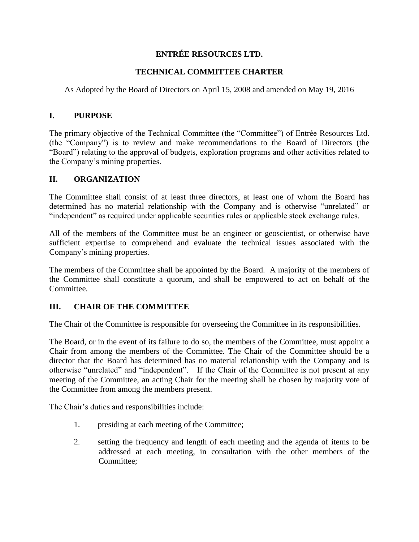# **ENTRÉE RESOURCES LTD.**

## **TECHNICAL COMMITTEE CHARTER**

As Adopted by the Board of Directors on April 15, 2008 and amended on May 19, 2016

## **I. PURPOSE**

The primary objective of the Technical Committee (the "Committee") of Entrée Resources Ltd. (the "Company") is to review and make recommendations to the Board of Directors (the "Board") relating to the approval of budgets, exploration programs and other activities related to the Company's mining properties.

### **II. ORGANIZATION**

The Committee shall consist of at least three directors, at least one of whom the Board has determined has no material relationship with the Company and is otherwise "unrelated" or "independent" as required under applicable securities rules or applicable stock exchange rules.

All of the members of the Committee must be an engineer or geoscientist, or otherwise have sufficient expertise to comprehend and evaluate the technical issues associated with the Company's mining properties.

The members of the Committee shall be appointed by the Board. A majority of the members of the Committee shall constitute a quorum, and shall be empowered to act on behalf of the Committee.

## **III. CHAIR OF THE COMMITTEE**

The Chair of the Committee is responsible for overseeing the Committee in its responsibilities.

The Board, or in the event of its failure to do so, the members of the Committee, must appoint a Chair from among the members of the Committee. The Chair of the Committee should be a director that the Board has determined has no material relationship with the Company and is otherwise "unrelated" and "independent". If the Chair of the Committee is not present at any meeting of the Committee, an acting Chair for the meeting shall be chosen by majority vote of the Committee from among the members present.

The Chair's duties and responsibilities include:

- 1. presiding at each meeting of the Committee;
- 2. setting the frequency and length of each meeting and the agenda of items to be addressed at each meeting, in consultation with the other members of the Committee: